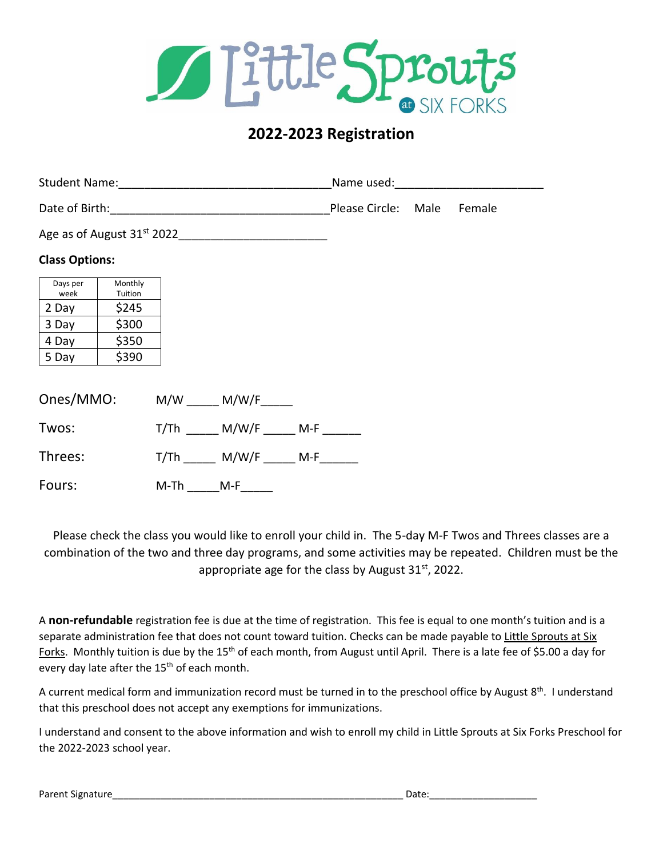

# **2022-2023 Registration**

|                       |                    |          |                                   |  |  |  | Female |  |
|-----------------------|--------------------|----------|-----------------------------------|--|--|--|--------|--|
|                       |                    |          |                                   |  |  |  |        |  |
| <b>Class Options:</b> |                    |          |                                   |  |  |  |        |  |
| Days per<br>week      | Monthly<br>Tuition |          |                                   |  |  |  |        |  |
| 2 Day                 | \$245              |          |                                   |  |  |  |        |  |
| 3 Day                 | \$300              |          |                                   |  |  |  |        |  |
| 4 Day                 | \$350              |          |                                   |  |  |  |        |  |
| 5 Day                 | \$390              |          |                                   |  |  |  |        |  |
|                       |                    |          |                                   |  |  |  |        |  |
| Ones/MMO:             |                    |          | $M/W$ $M/W/F$                     |  |  |  |        |  |
| Twos:                 |                    |          | $T/Th$ __ M/W/F _____ M-F ______  |  |  |  |        |  |
| Threes:               |                    |          | T/Th ______ M/W/F _____ M-F______ |  |  |  |        |  |
| Fours:                |                    | M-Th M-F |                                   |  |  |  |        |  |

Please check the class you would like to enroll your child in. The 5-day M-F Twos and Threes classes are a combination of the two and three day programs, and some activities may be repeated. Children must be the appropriate age for the class by August  $31<sup>st</sup>$ , 2022.

A **non-refundable** registration fee is due at the time of registration. This fee is equal to one month's tuition and is a separate administration fee that does not count toward tuition. Checks can be made payable to Little Sprouts at Six Forks. Monthly tuition is due by the 15<sup>th</sup> of each month, from August until April. There is a late fee of \$5.00 a day for every day late after the 15<sup>th</sup> of each month.

A current medical form and immunization record must be turned in to the preschool office by August 8<sup>th</sup>. I understand that this preschool does not accept any exemptions for immunizations.

I understand and consent to the above information and wish to enroll my child in Little Sprouts at Six Forks Preschool for the 2022-2023 school year.

| Parent Signature | Date: |
|------------------|-------|
|                  |       |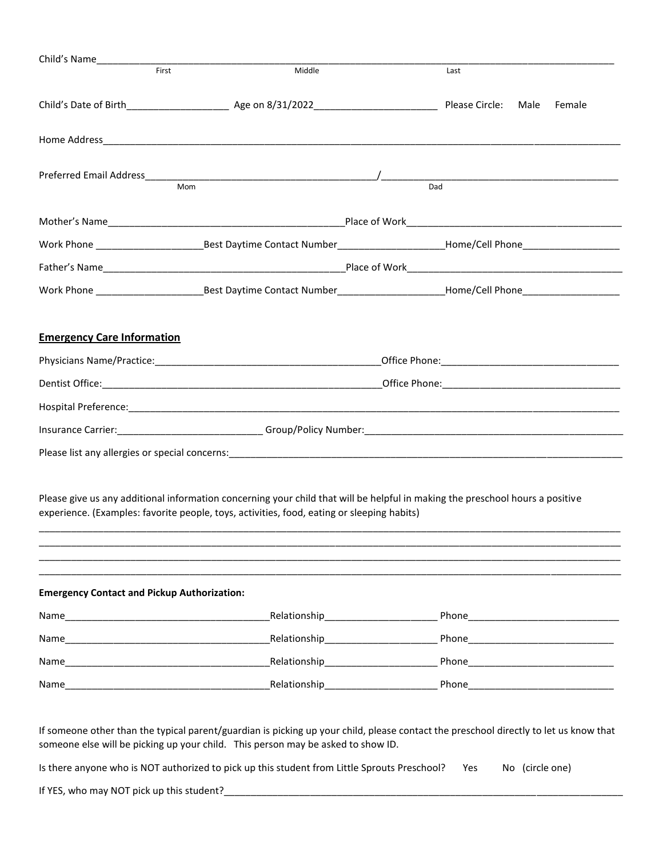| Child's Name                                       |                                                                                                                                                                                                                                |                                                                                                                |  |  |  |
|----------------------------------------------------|--------------------------------------------------------------------------------------------------------------------------------------------------------------------------------------------------------------------------------|----------------------------------------------------------------------------------------------------------------|--|--|--|
| First                                              | Middle                                                                                                                                                                                                                         | Last                                                                                                           |  |  |  |
|                                                    |                                                                                                                                                                                                                                |                                                                                                                |  |  |  |
|                                                    |                                                                                                                                                                                                                                |                                                                                                                |  |  |  |
| Mom                                                |                                                                                                                                                                                                                                | Dad                                                                                                            |  |  |  |
|                                                    |                                                                                                                                                                                                                                |                                                                                                                |  |  |  |
|                                                    |                                                                                                                                                                                                                                |                                                                                                                |  |  |  |
|                                                    |                                                                                                                                                                                                                                |                                                                                                                |  |  |  |
|                                                    |                                                                                                                                                                                                                                |                                                                                                                |  |  |  |
|                                                    |                                                                                                                                                                                                                                |                                                                                                                |  |  |  |
|                                                    |                                                                                                                                                                                                                                |                                                                                                                |  |  |  |
| <b>Emergency Care Information</b>                  |                                                                                                                                                                                                                                |                                                                                                                |  |  |  |
|                                                    | Physicians Name/Practice: etc. and the contract of the contract of the contract of the contract of the contract of the contract of the contract of the contract of the contract of the contract of the contract of the contrac |                                                                                                                |  |  |  |
|                                                    |                                                                                                                                                                                                                                |                                                                                                                |  |  |  |
|                                                    |                                                                                                                                                                                                                                | Hospital Preference: entertainment and the set of the set of the set of the set of the set of the set of the s |  |  |  |
|                                                    |                                                                                                                                                                                                                                |                                                                                                                |  |  |  |
|                                                    |                                                                                                                                                                                                                                |                                                                                                                |  |  |  |
|                                                    | Please give us any additional information concerning your child that will be helpful in making the preschool hours a positive<br>experience. (Examples: favorite people, toys, activities, food, eating or sleeping habits)    |                                                                                                                |  |  |  |
| <b>Emergency Contact and Pickup Authorization:</b> |                                                                                                                                                                                                                                |                                                                                                                |  |  |  |
|                                                    |                                                                                                                                                                                                                                |                                                                                                                |  |  |  |
|                                                    |                                                                                                                                                                                                                                |                                                                                                                |  |  |  |
|                                                    |                                                                                                                                                                                                                                |                                                                                                                |  |  |  |
|                                                    |                                                                                                                                                                                                                                |                                                                                                                |  |  |  |

If someone other than the typical parent/guardian is picking up your child, please contact the preschool directly to let us know that someone else will be picking up your child. This person may be asked to show ID.

Is there anyone who is NOT authorized to pick up this student from Little Sprouts Preschool? Yes No (circle one)

If YES, who may NOT pick up this student?\_\_\_\_\_\_\_\_\_\_\_\_\_\_\_\_\_\_\_\_\_\_\_\_\_\_\_\_\_\_\_\_\_\_\_\_\_\_\_\_\_\_\_\_\_\_\_\_\_\_\_\_\_\_\_\_\_\_\_\_\_\_\_\_\_\_\_\_\_\_\_\_\_\_